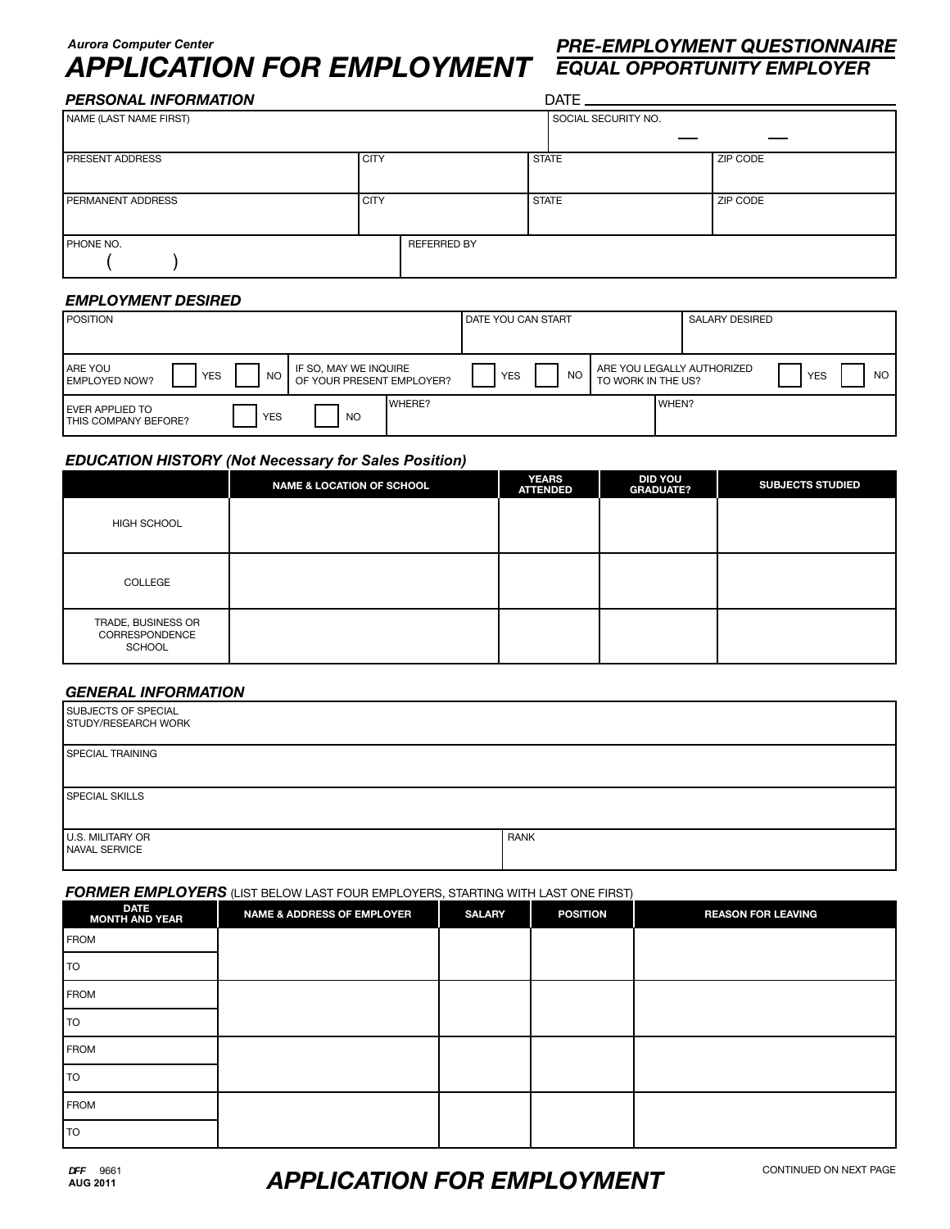## *Aurora Computer Center*

# *APPLICATION FOR EMPLOYMENT EQUAL OPPORTUNITY EMPLOYER*

# *PRE-EMPLOYMENT QUESTIONNAIRE*

| <b>PERSONAL INFORMATION</b> |             |                    | $DATE$ <sub>________</sub> |          |  |  |
|-----------------------------|-------------|--------------------|----------------------------|----------|--|--|
| NAME (LAST NAME FIRST)      |             |                    | SOCIAL SECURITY NO.        |          |  |  |
| <b>PRESENT ADDRESS</b>      | <b>CITY</b> |                    | <b>STATE</b>               | ZIP CODE |  |  |
| PERMANENT ADDRESS           | <b>CITY</b> |                    | <b>STATE</b>               | ZIP CODE |  |  |
| PHONE NO.                   |             | <b>REFERRED BY</b> |                            |          |  |  |

## *EMPLOYMENT DESIRED*

| <b>POSITION</b>                                                                                                          | <b>DATE YOU CAN START</b> | <b>SALARY DESIRED</b>                                                       |
|--------------------------------------------------------------------------------------------------------------------------|---------------------------|-----------------------------------------------------------------------------|
| <b>ARE YOU</b><br>IF SO, MAY WE INQUIRE<br><b>YES</b><br><b>NO</b><br>OF YOUR PRESENT EMPLOYER?<br><b>LEMPLOYED NOW?</b> | <b>NO</b><br><b>YES</b>   | ARE YOU LEGALLY AUTHORIZED<br><b>NO</b><br><b>YES</b><br>TO WORK IN THE US? |
| <b>LEVER APPLIED TO</b><br><b>YES</b><br>NO.<br><b>I THIS COMPANY BEFORE?</b>                                            | WHERE?                    | WHEN?                                                                       |

# *EDUCATION HISTORY (Not Necessary for Sales Position)*

|                                                | <b>NAME &amp; LOCATION OF SCHOOL</b> | <b>YEARS</b><br><b>ATTENDED</b> | <b>DID YOU</b><br><b>GRADUATE?</b> | <b>SUBJECTS STUDIED</b> |
|------------------------------------------------|--------------------------------------|---------------------------------|------------------------------------|-------------------------|
| HIGH SCHOOL                                    |                                      |                                 |                                    |                         |
| COLLEGE                                        |                                      |                                 |                                    |                         |
| TRADE, BUSINESS OR<br>CORRESPONDENCE<br>SCHOOL |                                      |                                 |                                    |                         |

### *GENERAL INFORMATION*

| SUBJECTS OF SPECIAL<br>STUDY/RESEARCH WORK |             |
|--------------------------------------------|-------------|
| SPECIAL TRAINING                           |             |
| I SPECIAL SKILLS                           |             |
| U.S. MILITARY OR<br><b>I</b> NAVAL SERVICE | <b>RANK</b> |

### *FORMER EMPLOYERS* (LIST BELOW LAST FOUR EMPLOYERS, STARTING WITH LAST ONE FIRST)

| DATE<br>MONTH AND YEAR | $\sim$<br><b>NAME &amp; ADDRESS OF EMPLOYER</b> | <b>SALARY</b> | <b>POSITION</b> | <b>REASON FOR LEAVING</b> |
|------------------------|-------------------------------------------------|---------------|-----------------|---------------------------|
| <b>FROM</b>            |                                                 |               |                 |                           |
| l TO                   |                                                 |               |                 |                           |
| <b>FROM</b>            |                                                 |               |                 |                           |
| TO                     |                                                 |               |                 |                           |
| <b>FROM</b>            |                                                 |               |                 |                           |
| l TO                   |                                                 |               |                 |                           |
| <b>FROM</b>            |                                                 |               |                 |                           |
| l TO                   |                                                 |               |                 |                           |

# *APPLICATION FOR EMPLOYMENT*